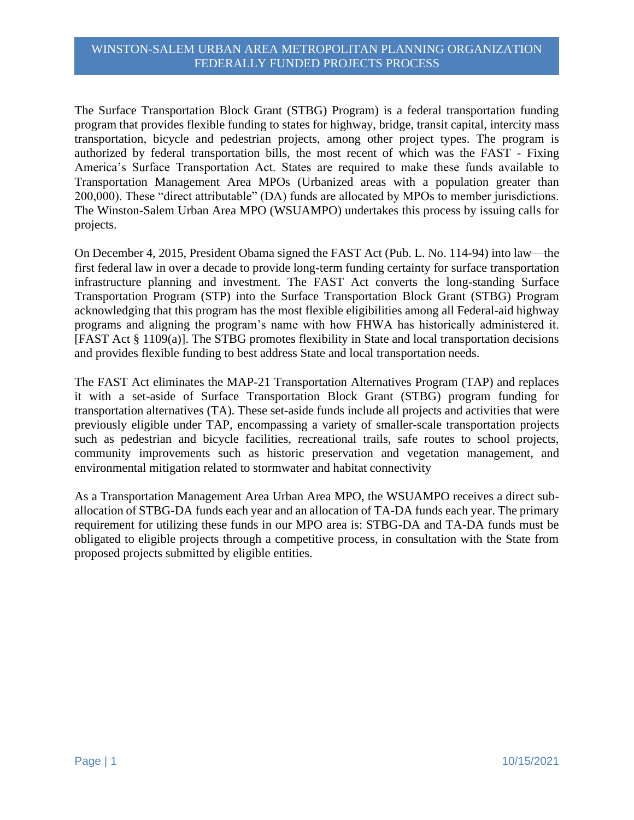The Surface Transportation Block Grant (STBG) Program) is a federal transportation funding program that provides flexible funding to states for highway, bridge, transit capital, intercity mass transportation, bicycle and pedestrian projects, among other project types. The program is authorized by federal transportation bills, the most recent of which was the FAST - Fixing America's Surface Transportation Act. States are required to make these funds available to Transportation Management Area MPOs (Urbanized areas with a population greater than 200,000). These "direct attributable" (DA) funds are allocated by MPOs to member jurisdictions. The Winston-Salem Urban Area MPO (WSUAMPO) undertakes this process by issuing calls for projects.

On December 4, 2015, President Obama signed the FAST Act (Pub. L. No. 114-94) into law—the first federal law in over a decade to provide long-term funding certainty for surface transportation infrastructure planning and investment. The FAST Act converts the long-standing Surface Transportation Program (STP) into the Surface Transportation Block Grant (STBG) Program acknowledging that this program has the most flexible eligibilities among all Federal-aid highway programs and aligning the program's name with how FHWA has historically administered it. [FAST Act § 1109(a)]. The STBG promotes flexibility in State and local transportation decisions and provides flexible funding to best address State and local transportation needs.

The FAST Act eliminates the MAP-21 Transportation Alternatives Program (TAP) and replaces it with a set-aside of Surface Transportation Block Grant (STBG) program funding for transportation alternatives (TA). These set-aside funds include all projects and activities that were previously eligible under TAP, encompassing a variety of smaller-scale transportation projects such as pedestrian and bicycle facilities, recreational trails, safe routes to school projects, community improvements such as historic preservation and vegetation management, and environmental mitigation related to stormwater and habitat connectivity

As a Transportation Management Area Urban Area MPO, the WSUAMPO receives a direct suballocation of STBG-DA funds each year and an allocation of TA-DA funds each year. The primary requirement for utilizing these funds in our MPO area is: STBG-DA and TA-DA funds must be obligated to eligible projects through a competitive process, in consultation with the State from proposed projects submitted by eligible entities.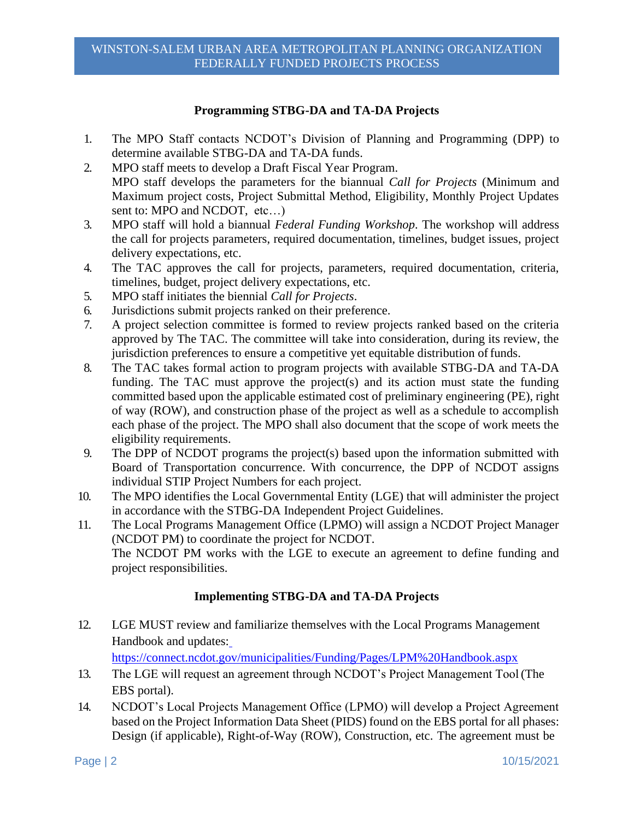## **Programming STBG-DA and TA-DA Projects**

- 1. The MPO Staff contacts NCDOT's Division of Planning and Programming (DPP) to determine available STBG-DA and TA-DA funds.
- 2. MPO staff meets to develop a Draft Fiscal Year Program. MPO staff develops the parameters for the biannual *Call for Projects* (Minimum and Maximum project costs, Project Submittal Method, Eligibility, Monthly Project Updates sent to: MPO and NCDOT, etc…)
- 3. MPO staff will hold a biannual *Federal Funding Workshop*. The workshop will address the call for projects parameters, required documentation, timelines, budget issues, project delivery expectations, etc.
- 4. The TAC approves the call for projects, parameters, required documentation, criteria, timelines, budget, project delivery expectations, etc.
- 5. MPO staff initiates the biennial *Call for Projects*.
- 6. Jurisdictions submit projects ranked on their preference.
- 7. A project selection committee is formed to review projects ranked based on the criteria approved by The TAC. The committee will take into consideration, during its review, the jurisdiction preferences to ensure a competitive yet equitable distribution of funds.
- 8. The TAC takes formal action to program projects with available STBG-DA and TA-DA funding. The TAC must approve the project(s) and its action must state the funding committed based upon the applicable estimated cost of preliminary engineering (PE), right of way (ROW), and construction phase of the project as well as a schedule to accomplish each phase of the project. The MPO shall also document that the scope of work meets the eligibility requirements.
- 9. The DPP of NCDOT programs the project(s) based upon the information submitted with Board of Transportation concurrence. With concurrence, the DPP of NCDOT assigns individual STIP Project Numbers for each project.
- 10. The MPO identifies the Local Governmental Entity (LGE) that will administer the project in accordance with the STBG-DA Independent Project Guidelines.
- 11. The Local Programs Management Office (LPMO) will assign a NCDOT Project Manager (NCDOT PM) to coordinate the project for NCDOT. The NCDOT PM works with the LGE to execute an agreement to define funding and project responsibilities.

## **Implementing STBG-DA and TA-DA Projects**

12. LGE MUST review and familiarize themselves with the Local Programs Management Handbook and updates:

https://connect.ncdot.gov/municipalities/Funding/Pages/LPM%20Handbook.aspx

- 13. The LGE will request an agreement through NCDOT's Project Management Tool (The EBS portal).
- 14. NCDOT's Local Projects Management Office (LPMO) will develop a Project Agreement based on the Project Information Data Sheet (PIDS) found on the EBS portal for all phases: Design (if applicable), Right-of-Way (ROW), Construction, etc. The agreement must be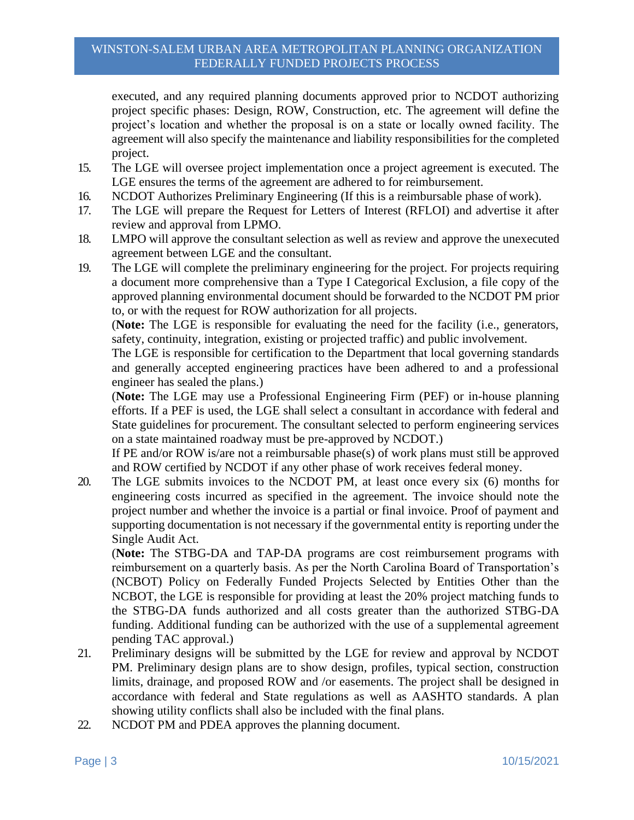executed, and any required planning documents approved prior to NCDOT authorizing project specific phases: Design, ROW, Construction, etc. The agreement will define the project's location and whether the proposal is on a state or locally owned facility. The agreement will also specify the maintenance and liability responsibilities for the completed project.

- 15. The LGE will oversee project implementation once a project agreement is executed. The LGE ensures the terms of the agreement are adhered to for reimbursement.
- 16. NCDOT Authorizes Preliminary Engineering (If this is a reimbursable phase of work).
- 17. The LGE will prepare the Request for Letters of Interest (RFLOI) and advertise it after review and approval from LPMO.
- 18. LMPO will approve the consultant selection as well as review and approve the unexecuted agreement between LGE and the consultant.
- 19. The LGE will complete the preliminary engineering for the project. For projects requiring a document more comprehensive than a Type I Categorical Exclusion, a file copy of the approved planning environmental document should be forwarded to the NCDOT PM prior to, or with the request for ROW authorization for all projects.

(**Note:** The LGE is responsible for evaluating the need for the facility (i.e., generators, safety, continuity, integration, existing or projected traffic) and public involvement.

The LGE is responsible for certification to the Department that local governing standards and generally accepted engineering practices have been adhered to and a professional engineer has sealed the plans.)

(**Note:** The LGE may use a Professional Engineering Firm (PEF) or in-house planning efforts. If a PEF is used, the LGE shall select a consultant in accordance with federal and State guidelines for procurement. The consultant selected to perform engineering services on a state maintained roadway must be pre-approved by NCDOT.)

If PE and/or ROW is/are not a reimbursable phase(s) of work plans must still be approved and ROW certified by NCDOT if any other phase of work receives federal money.

20. The LGE submits invoices to the NCDOT PM, at least once every six (6) months for engineering costs incurred as specified in the agreement. The invoice should note the project number and whether the invoice is a partial or final invoice. Proof of payment and supporting documentation is not necessary if the governmental entity is reporting under the Single Audit Act.

(**Note:** The STBG-DA and TAP-DA programs are cost reimbursement programs with reimbursement on a quarterly basis. As per the North Carolina Board of Transportation's (NCBOT) Policy on Federally Funded Projects Selected by Entities Other than the NCBOT, the LGE is responsible for providing at least the 20% project matching funds to the STBG-DA funds authorized and all costs greater than the authorized STBG-DA funding. Additional funding can be authorized with the use of a supplemental agreement pending TAC approval.)

- 21. Preliminary designs will be submitted by the LGE for review and approval by NCDOT PM. Preliminary design plans are to show design, profiles, typical section, construction limits, drainage, and proposed ROW and /or easements. The project shall be designed in accordance with federal and State regulations as well as AASHTO standards. A plan showing utility conflicts shall also be included with the final plans.
- 22. NCDOT PM and PDEA approves the planning document.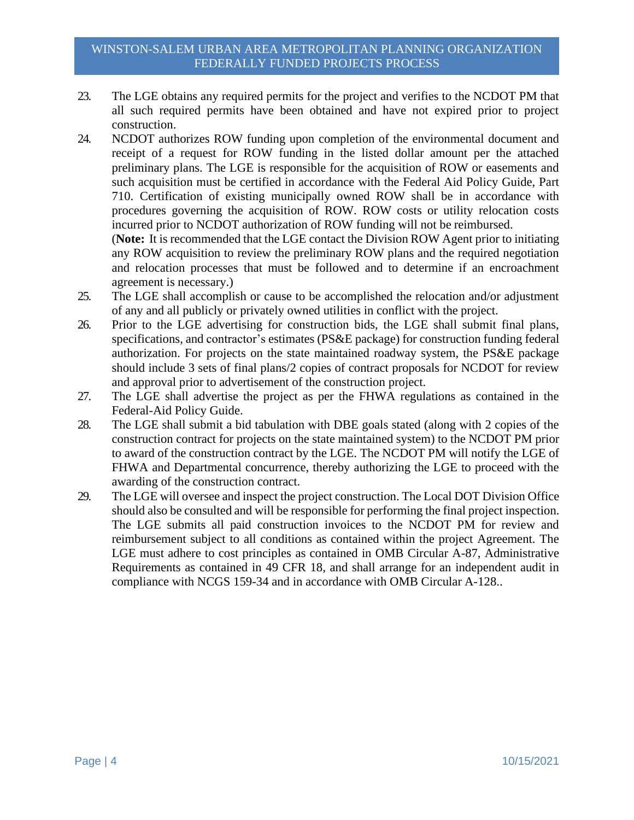- 23. The LGE obtains any required permits for the project and verifies to the NCDOT PM that all such required permits have been obtained and have not expired prior to project construction.
- 24. NCDOT authorizes ROW funding upon completion of the environmental document and receipt of a request for ROW funding in the listed dollar amount per the attached preliminary plans. The LGE is responsible for the acquisition of ROW or easements and such acquisition must be certified in accordance with the Federal Aid Policy Guide, Part 710. Certification of existing municipally owned ROW shall be in accordance with procedures governing the acquisition of ROW. ROW costs or utility relocation costs incurred prior to NCDOT authorization of ROW funding will not be reimbursed.

(**Note:** It is recommended that the LGE contact the Division ROW Agent prior to initiating any ROW acquisition to review the preliminary ROW plans and the required negotiation and relocation processes that must be followed and to determine if an encroachment agreement is necessary.)

- 25. The LGE shall accomplish or cause to be accomplished the relocation and/or adjustment of any and all publicly or privately owned utilities in conflict with the project.
- 26. Prior to the LGE advertising for construction bids, the LGE shall submit final plans, specifications, and contractor's estimates (PS&E package) for construction funding federal authorization. For projects on the state maintained roadway system, the PS&E package should include 3 sets of final plans/2 copies of contract proposals for NCDOT for review and approval prior to advertisement of the construction project.
- 27. The LGE shall advertise the project as per the FHWA regulations as contained in the Federal-Aid Policy Guide.
- 28. The LGE shall submit a bid tabulation with DBE goals stated (along with 2 copies of the construction contract for projects on the state maintained system) to the NCDOT PM prior to award of the construction contract by the LGE. The NCDOT PM will notify the LGE of FHWA and Departmental concurrence, thereby authorizing the LGE to proceed with the awarding of the construction contract.
- 29. The LGE will oversee and inspect the project construction. The Local DOT Division Office should also be consulted and will be responsible for performing the final project inspection. The LGE submits all paid construction invoices to the NCDOT PM for review and reimbursement subject to all conditions as contained within the project Agreement. The LGE must adhere to cost principles as contained in OMB Circular A-87, Administrative Requirements as contained in 49 CFR 18, and shall arrange for an independent audit in compliance with NCGS 159-34 and in accordance with OMB Circular A-128..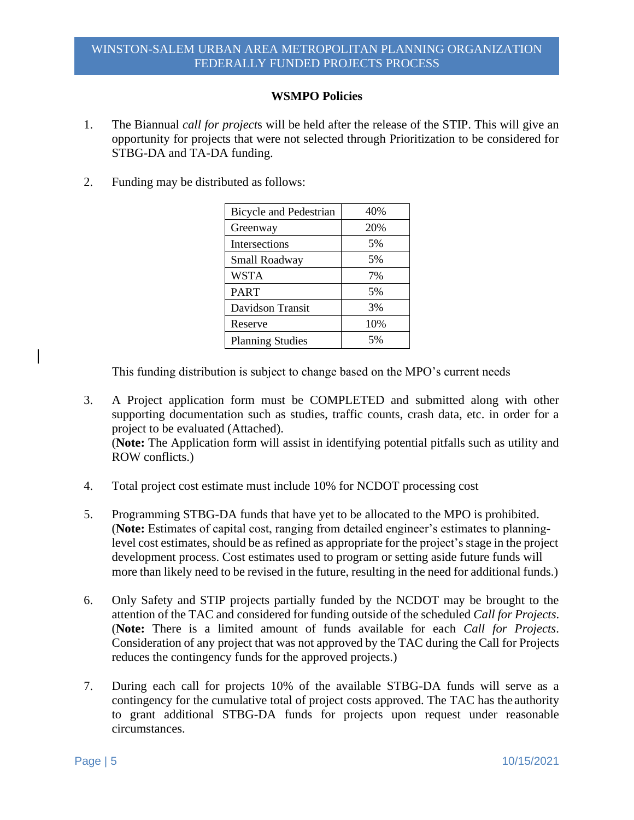## **WSMPO Policies**

- 1. The Biannual *call for project*s will be held after the release of the STIP. This will give an opportunity for projects that were not selected through Prioritization to be considered for STBG-DA and TA-DA funding.
- 2. Funding may be distributed as follows:

| <b>Bicycle and Pedestrian</b> | 40% |
|-------------------------------|-----|
| Greenway                      | 20% |
| Intersections                 | 5%  |
| Small Roadway                 | 5%  |
| <b>WSTA</b>                   | 7%  |
| <b>PART</b>                   | 5%  |
| Davidson Transit              | 3%  |
| Reserve                       | 10% |
| <b>Planning Studies</b>       | 5%  |

This funding distribution is subject to change based on the MPO's current needs

- 3. A Project application form must be COMPLETED and submitted along with other supporting documentation such as studies, traffic counts, crash data, etc. in order for a project to be evaluated (Attached). (**Note:** The Application form will assist in identifying potential pitfalls such as utility and ROW conflicts.)
- 4. Total project cost estimate must include 10% for NCDOT processing cost
- 5. Programming STBG-DA funds that have yet to be allocated to the MPO is prohibited. (**Note:** Estimates of capital cost, ranging from detailed engineer's estimates to planninglevel cost estimates, should be as refined as appropriate for the project's stage in the project development process. Cost estimates used to program or setting aside future funds will more than likely need to be revised in the future, resulting in the need for additional funds.)
- 6. Only Safety and STIP projects partially funded by the NCDOT may be brought to the attention of the TAC and considered for funding outside of the scheduled *Call for Projects*. (**Note:** There is a limited amount of funds available for each *Call for Projects*. Consideration of any project that was not approved by the TAC during the Call for Projects reduces the contingency funds for the approved projects.)
- 7. During each call for projects 10% of the available STBG-DA funds will serve as a contingency for the cumulative total of project costs approved. The TAC has the authority to grant additional STBG-DA funds for projects upon request under reasonable circumstances.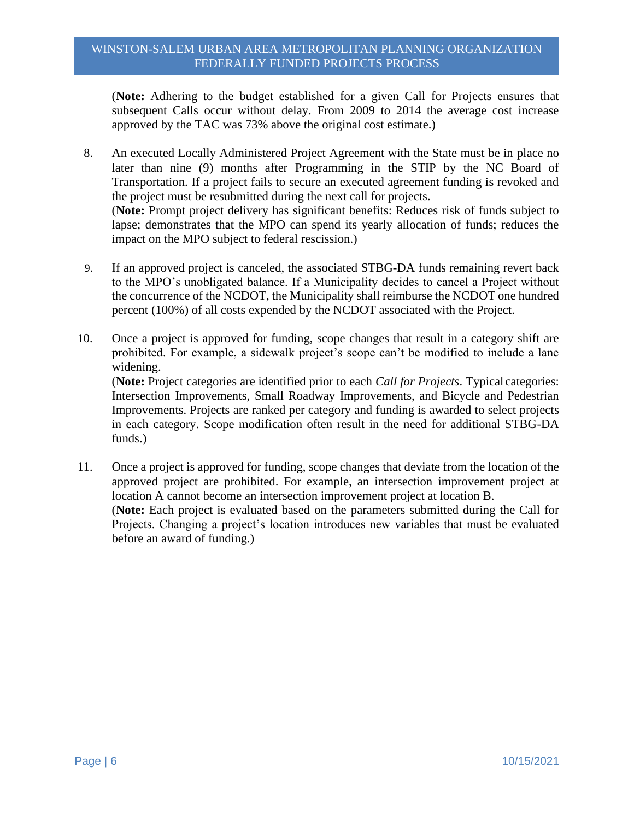(**Note:** Adhering to the budget established for a given Call for Projects ensures that subsequent Calls occur without delay. From 2009 to 2014 the average cost increase approved by the TAC was 73% above the original cost estimate.)

- 8. An executed Locally Administered Project Agreement with the State must be in place no later than nine (9) months after Programming in the STIP by the NC Board of Transportation. If a project fails to secure an executed agreement funding is revoked and the project must be resubmitted during the next call for projects. (**Note:** Prompt project delivery has significant benefits: Reduces risk of funds subject to lapse; demonstrates that the MPO can spend its yearly allocation of funds; reduces the impact on the MPO subject to federal rescission.)
- 9. If an approved project is canceled, the associated STBG-DA funds remaining revert back to the MPO's unobligated balance. If a Municipality decides to cancel a Project without the concurrence of the NCDOT, the Municipality shall reimburse the NCDOT one hundred percent (100%) of all costs expended by the NCDOT associated with the Project.
- 10. Once a project is approved for funding, scope changes that result in a category shift are prohibited. For example, a sidewalk project's scope can't be modified to include a lane widening. (**Note:** Project categories are identified prior to each *Call for Projects*. Typical categories: Intersection Improvements, Small Roadway Improvements, and Bicycle and Pedestrian Improvements. Projects are ranked per category and funding is awarded to select projects

in each category. Scope modification often result in the need for additional STBG-DA

11. Once a project is approved for funding, scope changes that deviate from the location of the approved project are prohibited. For example, an intersection improvement project at location A cannot become an intersection improvement project at location B. (**Note:** Each project is evaluated based on the parameters submitted during the Call for Projects. Changing a project's location introduces new variables that must be evaluated before an award of funding.)

funds.)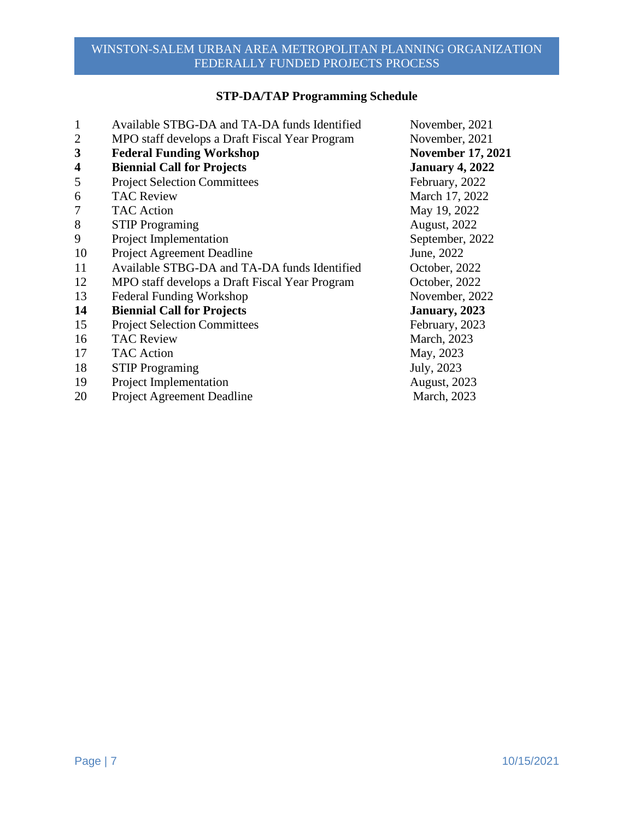# **STP-DA/TAP Programming Schedule**

| 1                       | Available STBG-DA and TA-DA funds Identified   | November, 2021           |
|-------------------------|------------------------------------------------|--------------------------|
| $\overline{2}$          | MPO staff develops a Draft Fiscal Year Program | November, 2021           |
| 3                       | <b>Federal Funding Workshop</b>                | <b>November 17, 2021</b> |
| $\overline{\mathbf{4}}$ | <b>Biennial Call for Projects</b>              | <b>January 4, 2022</b>   |
| 5                       | <b>Project Selection Committees</b>            | February, 2022           |
| 6                       | <b>TAC Review</b>                              | March 17, 2022           |
| 7                       | <b>TAC Action</b>                              | May 19, 2022             |
| 8                       | <b>STIP Programing</b>                         | <b>August, 2022</b>      |
| 9                       | Project Implementation                         | September, 2022          |
| 10                      | Project Agreement Deadline                     | June, 2022               |
| 11                      | Available STBG-DA and TA-DA funds Identified   | October, 2022            |
| 12                      | MPO staff develops a Draft Fiscal Year Program | October, 2022            |
| 13                      | <b>Federal Funding Workshop</b>                | November, 2022           |
| 14                      | <b>Biennial Call for Projects</b>              | January, 2023            |
| 15                      | <b>Project Selection Committees</b>            | February, 2023           |
| 16                      | <b>TAC Review</b>                              | March, 2023              |
| 17                      | <b>TAC</b> Action                              | May, 2023                |
| 18                      | <b>STIP Programing</b>                         | July, 2023               |
| 19                      | Project Implementation                         | <b>August</b> , 2023     |
| 20                      | Project Agreement Deadline                     | March, 2023              |